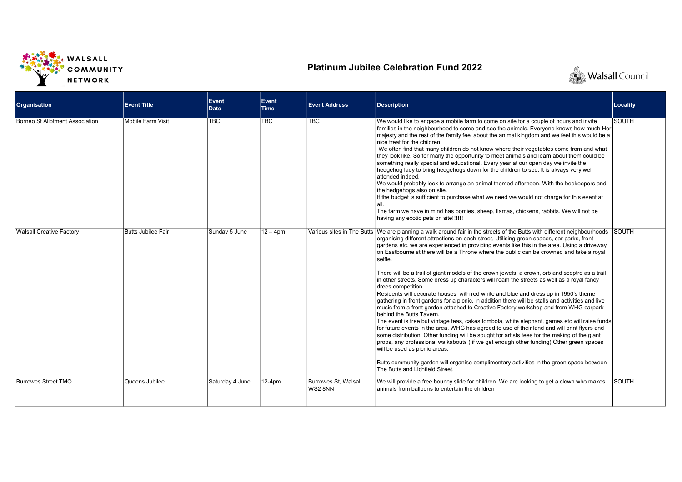

## Platinum Jubilee Celebration Fund 2022



| <b>Organisation</b>             | <b>Event Title</b> | Event<br>Date   | Event<br><b>Time</b> | <b>Event Address</b>           | <b>Description</b>                                                                                                                                                                                                                                                                                                                                                                                                                                                                                                                                                                                                                                                                                                                                                                                                                                                                                                                                                                                                                                                                                                                                                                                                                                                                                                                                                                                                                                                                                                         | Locality     |
|---------------------------------|--------------------|-----------------|----------------------|--------------------------------|----------------------------------------------------------------------------------------------------------------------------------------------------------------------------------------------------------------------------------------------------------------------------------------------------------------------------------------------------------------------------------------------------------------------------------------------------------------------------------------------------------------------------------------------------------------------------------------------------------------------------------------------------------------------------------------------------------------------------------------------------------------------------------------------------------------------------------------------------------------------------------------------------------------------------------------------------------------------------------------------------------------------------------------------------------------------------------------------------------------------------------------------------------------------------------------------------------------------------------------------------------------------------------------------------------------------------------------------------------------------------------------------------------------------------------------------------------------------------------------------------------------------------|--------------|
| Borneo St Allotment Association | Mobile Farm Visit  | <b>TBC</b>      | <b>TBC</b>           | <b>TBC</b>                     | We would like to engage a mobile farm to come on site for a couple of hours and invite<br>families in the neighbourhood to come and see the animals. Everyone knows how much Her<br>majesty and the rest of the family feel about the animal kingdom and we feel this would be a<br>nice treat for the children.<br>We often find that many children do not know where their vegetables come from and what<br>they look like. So for many the opportunity to meet animals and learn about them could be<br>something really special and educational. Every year at our open day we invite the<br>hedgehog lady to bring hedgehogs down for the children to see. It is always very well<br>attended indeed.<br>We would probably look to arrange an animal themed afternoon. With the beekeepers and<br>the hedgehogs also on site.<br>If the budget is sufficient to purchase what we need we would not charge for this event at<br>lall.<br>The farm we have in mind has pomies, sheep, llamas, chickens, rabbits. We will not be<br>having any exotic pets on site!!!!!!                                                                                                                                                                                                                                                                                                                                                                                                                                                 | <b>SOUTH</b> |
| <b>Walsall Creative Factory</b> | Butts Jubilee Fair | Sunday 5 June   | $12 - 4$ pm          |                                | Various sites in The Butts We are planning a walk around fair in the streets of the Butts with different neighbourhoods<br>organising different attractions on each street, Utilising green spaces, car parks, front<br>gardens etc. we are experienced in providing events like this in the area. Using a driveway<br>on Eastbourne st there will be a Throne where the public can be crowned and take a royal<br>selfie.<br>There will be a trail of giant models of the crown jewels, a crown, orb and sceptre as a trail<br>in other streets. Some dress up characters will roam the streets as well as a royal fancy<br>drees competition.<br>Residents will decorate houses with red white and blue and dress up in 1950's theme<br>gathering in front gardens for a picnic. In addition there will be stalls and activities and live<br>music from a front garden attached to Creative Factory workshop and from WHG carpark<br>behind the Butts Tavern.<br>The event is free but vintage teas, cakes tombola, white elephant, games etc will raise funds<br>for future events in the area. WHG has agreed to use of their land and will print flyers and<br>some distribution. Other funding will be sought for artists fees for the making of the giant<br>props, any professional walkabouts (if we get enough other funding) Other green spaces<br>will be used as picnic areas.<br>Butts community garden will organise complimentary activities in the green space between<br>The Butts and Lichfield Street. | SOUTH        |
| Burrowes Street TMO             | Queens Jubilee     | Saturday 4 June | 12-4pm               | Burrowes St. Walsall<br>WS28NN | We will provide a free bouncy slide for children. We are looking to get a clown who makes<br>animals from balloons to entertain the children                                                                                                                                                                                                                                                                                                                                                                                                                                                                                                                                                                                                                                                                                                                                                                                                                                                                                                                                                                                                                                                                                                                                                                                                                                                                                                                                                                               | <b>SOUTH</b> |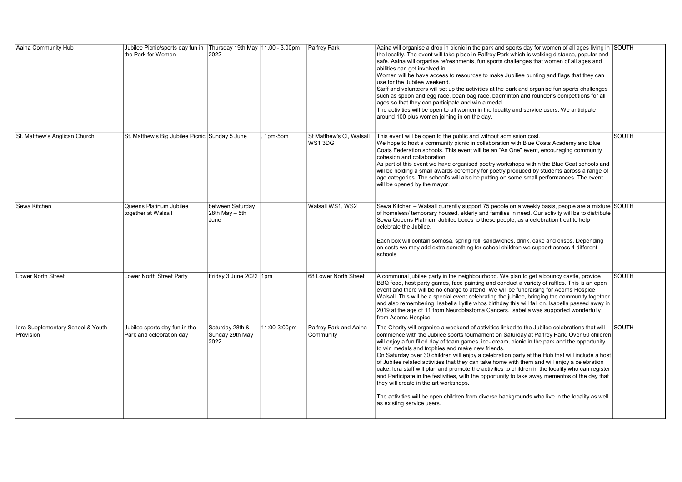| Aaina Community Hub                                    | Jubilee Picnic/sports day fun in Thursday 19th May 11.00 - 3.00pm<br>the Park for Women | 2022                                       |              | Palfrey Park                        | Aaina will organise a drop in picnic in the park and sports day for women of all ages living in SOUTH<br>the locality. The event will take place in Palfrey Park which is walking distance, popular and<br>safe. Aaina will organise refreshments, fun sports challenges that women of all ages and<br>abilities can get involved in.<br>Women will be have access to resources to make Jubiliee bunting and flags that they can<br>use for the Jubilee weekend.<br>Staff and volunteers will set up the activities at the park and organise fun sports challenges<br>such as spoon and egg race, bean bag race, badminton and rounder's competitions for all<br>ages so that they can participate and win a medal.<br>The activities will be open to all women in the locality and service users. We anticipate<br>around 100 plus women joining in on the day.                                                                      |              |
|--------------------------------------------------------|-----------------------------------------------------------------------------------------|--------------------------------------------|--------------|-------------------------------------|---------------------------------------------------------------------------------------------------------------------------------------------------------------------------------------------------------------------------------------------------------------------------------------------------------------------------------------------------------------------------------------------------------------------------------------------------------------------------------------------------------------------------------------------------------------------------------------------------------------------------------------------------------------------------------------------------------------------------------------------------------------------------------------------------------------------------------------------------------------------------------------------------------------------------------------|--------------|
| St. Matthew's Anglican Church                          | St. Matthew's Big Jubilee Picnic Sunday 5 June                                          |                                            | 1pm-5pm      | St Matthew's Cl. Walsall<br>WS13DG  | This event will be open to the public and without admission cost.<br>We hope to host a community picnic in collaboration with Blue Coats Academy and Blue<br>Coats Federation schools. This event will be an "As One" event, encouraging community<br>cohesion and collaboration.<br>As part of this event we have organised poetry workshops within the Blue Coat schools and<br>will be holding a small awards ceremony for poetry produced by students across a range of<br>age categories. The school's will also be putting on some small performances. The event<br>will be opened by the mayor.                                                                                                                                                                                                                                                                                                                                | <b>SOUTH</b> |
| Sewa Kitchen                                           | Queens Platinum Jubilee<br>together at Walsall                                          | between Saturday<br>28th May - 5th<br>June |              | Walsall WS1, WS2                    | Sewa Kitchen – Walsall currently support 75 people on a weekly basis, people are a mixture SOUTH<br>of homeless/ temporary housed, elderly and families in need. Our activity will be to distribute<br>Sewa Queens Platinum Jubilee boxes to these people, as a celebration treat to help<br>celebrate the Jubilee.<br>Each box will contain somosa, spring roll, sandwiches, drink, cake and crisps. Depending<br>on costs we may add extra something for school children we support across 4 different<br>schools                                                                                                                                                                                                                                                                                                                                                                                                                   |              |
| <b>Lower North Street</b>                              | Lower North Street Party                                                                | Friday 3 June 2022 1pm                     |              | 68 Lower North Street               | A communal jubilee party in the neighbourhood. We plan to get a bouncy castle, provide<br>BBQ food, host party games, face painting and conduct a variety of raffles. This is an open<br>event and there will be no charge to attend. We will be fundraising for Acorns Hospice<br>Walsall. This will be a special event celebrating the jubilee, bringing the community together<br>and also remembering Isabella Lytlle whos birthday this will fall on. Isabella passed away in<br>2019 at the age of 11 from Neuroblastoma Cancers. Isabella was supported wonderfully<br>from Acorns Hospice                                                                                                                                                                                                                                                                                                                                     | <b>SOUTH</b> |
| Igra Supplementary School & Youth<br><b>IProvision</b> | Jubilee sports day fun in the<br>Park and celebration day                               | Saturday 28th &<br>Sunday 29th May<br>2022 | 11:00-3:00pm | Palfrey Park and Aaina<br>Community | The Charity will organise a weekend of activities linked to the Jubilee celebrations that will<br>commence with the Jubilee sports tournament on Saturday at Palfrey Park. Over 50 children<br>will enjoy a fun filled day of team games, ice- cream, picnic in the park and the opportunity<br>to win medals and trophies and make new friends.<br>On Saturday over 30 children will enjoy a celebration party at the Hub that will include a host<br>of Jubilee related activities that they can take home with them and will enjoy a celebration<br>cake. Igra staff will plan and promote the activities to children in the locality who can register<br>and Participate in the festivities, with the opportunity to take away mementos of the day that<br>they will create in the art workshops.<br>The activities will be open children from diverse backgrounds who live in the locality as well<br>as existing service users. | <b>SOUTH</b> |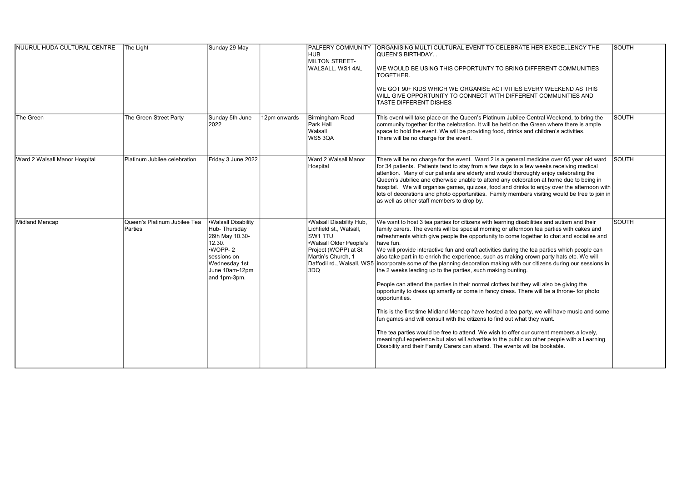| NUURUL HUDA CULTURAL CENTRE   | The Light                               | Sunday 29 May                                                                                                                                  |              | <b>PALFERY COMMUNITY</b><br><b>HUB</b><br>MILTON STREET-<br>WALSALL. WS1 4AL                                                                                                | ORGANISING MULTI CULTURAL EVENT TO CELEBRATE HER EXECELLENCY THE<br><b>QUEEN'S BIRTHDAY</b><br>WE WOULD BE USING THIS OPPORTUNTY TO BRING DIFFERENT COMMUNITIES<br>TOGETHER.<br>WE GOT 90+ KIDS WHICH WE ORGANISE ACTIVITIES EVERY WEEKEND AS THIS<br>WILL GIVE OPPORTUNITY TO CONNECT WITH DIFFERENT COMMUNITIES AND<br><b>TASTE DIFFERENT DISHES</b>                                                                                                                                                                                                                                                                                                                                                                                                                                                                                                                                                                                                                                                                                                                                                                                                                                                                                                                                                                  | SOUTH        |
|-------------------------------|-----------------------------------------|------------------------------------------------------------------------------------------------------------------------------------------------|--------------|-----------------------------------------------------------------------------------------------------------------------------------------------------------------------------|-------------------------------------------------------------------------------------------------------------------------------------------------------------------------------------------------------------------------------------------------------------------------------------------------------------------------------------------------------------------------------------------------------------------------------------------------------------------------------------------------------------------------------------------------------------------------------------------------------------------------------------------------------------------------------------------------------------------------------------------------------------------------------------------------------------------------------------------------------------------------------------------------------------------------------------------------------------------------------------------------------------------------------------------------------------------------------------------------------------------------------------------------------------------------------------------------------------------------------------------------------------------------------------------------------------------------|--------------|
| The Green                     | The Green Street Party                  | Sunday 5th June<br>2022                                                                                                                        | 12pm onwards | Birmingham Road<br>Park Hall<br>Walsall<br>WS53QA                                                                                                                           | This event will take place on the Queen's Platinum Jubilee Central Weekend, to bring the<br>community together for the celebration. It will be held on the Green where there is ample<br>space to hold the event. We will be providing food, drinks and children's activities.<br>There will be no charge for the event.                                                                                                                                                                                                                                                                                                                                                                                                                                                                                                                                                                                                                                                                                                                                                                                                                                                                                                                                                                                                | SOUTH        |
| Ward 2 Walsall Manor Hospital | Platinum Jubilee celebration            | Friday 3 June 2022                                                                                                                             |              | Ward 2 Walsall Manor<br>Hospital                                                                                                                                            | There will be no charge for the event. Ward 2 is a general medicine over 65 year old ward<br>for 34 patients. Patients tend to stay from a few days to a few weeks receiving medical<br>attention. Many of our patients are elderly and would thoroughly enjoy celebrating the<br>Queen's Jubiliee and otherwise unable to attend any celebration at home due to being in<br>hospital. We will organise games, guizzes, food and drinks to enjoy over the afternoon with<br>lots of decorations and photo opportunities. Family members visiting would be free to join in<br>as well as other staff members to drop by.                                                                                                                                                                                                                                                                                                                                                                                                                                                                                                                                                                                                                                                                                                 | <b>SOUTH</b> |
| Midland Mencap                | Queen's Platinum Jubilee Tea<br>Parties | .Walsall Disability<br>Hub-Thursday<br>26th May 10.30-<br>12.30.<br>$WOPP-2$<br>sessions on<br>Wednesday 1st<br>June 10am-12pm<br>and 1pm-3pm. |              | .Walsall Disability Hub,<br>Lichfield st., Walsall,<br>SW1 1TU<br>Walsall Older People's<br>Project (WOPP) at St<br>Martin's Church. 1<br>Daffodil rd., Walsall, WS5<br>3DQ | We want to host 3 tea parties for citizens with learning disabilities and autism and their<br>family carers. The events will be special morning or afternoon tea parties with cakes and<br>refreshments which give people the opportunity to come together to chat and socialise and<br>have fun.<br>We will provide interactive fun and craft activities during the tea parties which people can<br>also take part in to enrich the experience, such as making crown party hats etc. We will<br>incorporate some of the planning decoration making with our citizens during our sessions in<br>the 2 weeks leading up to the parties, such making bunting.<br>People can attend the parties in their normal clothes but they will also be giving the<br>opportunity to dress up smartly or come in fancy dress. There will be a throne- for photo<br>opportunities.<br>This is the first time Midland Mencap have hosted a tea party, we will have music and some<br>fun games and will consult with the citizens to find out what they want.<br>The tea parties would be free to attend. We wish to offer our current members a lovely,<br>meaningful experience but also will advertise to the public so other people with a Learning<br>Disability and their Family Carers can attend. The events will be bookable. | SOUTH        |